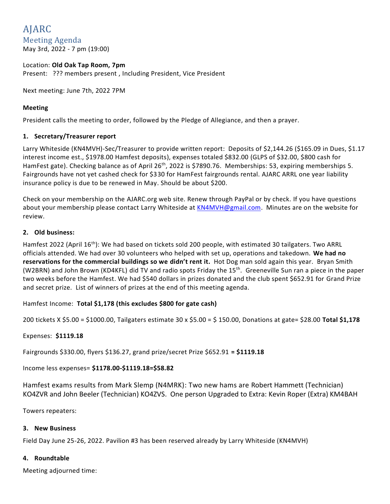# AJARC Meeting Agenda May 3rd, 2022 - 7 pm (19:00)

# Location: **Old Oak Tap Room, 7pm** Present: ??? members present , Including President, Vice President

Next meeting: June 7th, 2022 7PM

# **Meeting**

President calls the meeting to order, followed by the Pledge of Allegiance, and then a prayer.

#### **1. Secretary/Treasurer report**

Larry Whiteside (KN4MVH)-Sec/Treasurer to provide written report: Deposits of \$2,144.26 (\$165.09 in Dues, \$1.17 interest income est., \$1978.00 Hamfest deposits), expenses totaled \$832.00 (GLPS of \$32.00, \$800 cash for HamFest gate). Checking balance as of April 26<sup>th</sup>, 2022 is \$7890.76. Memberships: 53, expiring memberships 5. Fairgrounds have not yet cashed check for \$330 for HamFest fairgrounds rental. AJARC ARRL one year liability insurance policy is due to be renewed in May. Should be about \$200.

Check on your membership on the AJARC.org web site. Renew through PayPal or by check. If you have questions about your membership please contact Larry Whiteside at [KN4MVH@gmail.com.](mailto:KN4MVH@gmail.com) Minutes are on the website for review.

#### **2. Old business:**

Hamfest 2022 (April 16<sup>th</sup>): We had based on tickets sold 200 people, with estimated 30 tailgaters. Two ARRL officials attended. We had over 30 volunteers who helped with set up, operations and takedown. **We had no reservations for the commercial buildings so we didn't rent it.** Hot Dog man sold again this year. Bryan Smith (W2BRN) and John Brown (KD4KFL) did TV and radio spots Friday the 15<sup>th</sup>. Greeneville Sun ran a piece in the paper two weeks before the Hamfest. We had \$540 dollars in prizes donated and the club spent \$652.91 for Grand Prize and secret prize. List of winners of prizes at the end of this meeting agenda.

# Hamfest Income: **Total \$1,178 (this excludes \$800 for gate cash)**

200 tickets X \$5.00 = \$1000.00, Tailgaters estimate 30 x \$5.00 = \$ 150.00, Donations at gate= \$28.00 **Total \$1,178**

# Expenses: **\$1119.18**

Fairgrounds \$330.00, flyers \$136.27, grand prize/secret Prize \$652.91 **= \$1119.18**

# Income less expenses= **\$1178.00-\$1119.18=\$58.82**

Hamfest exams results from Mark Slemp (N4MRK): Two new hams are Robert Hammett (Technician) KO4ZVR and John Beeler (Technician) KO4ZVS. One person Upgraded to Extra: Kevin Roper (Extra) KM4BAH

Towers repeaters:

#### **3. New Business**

Field Day June 25-26, 2022. Pavilion #3 has been reserved already by Larry Whiteside (KN4MVH)

# **4. Roundtable**

Meeting adjourned time: